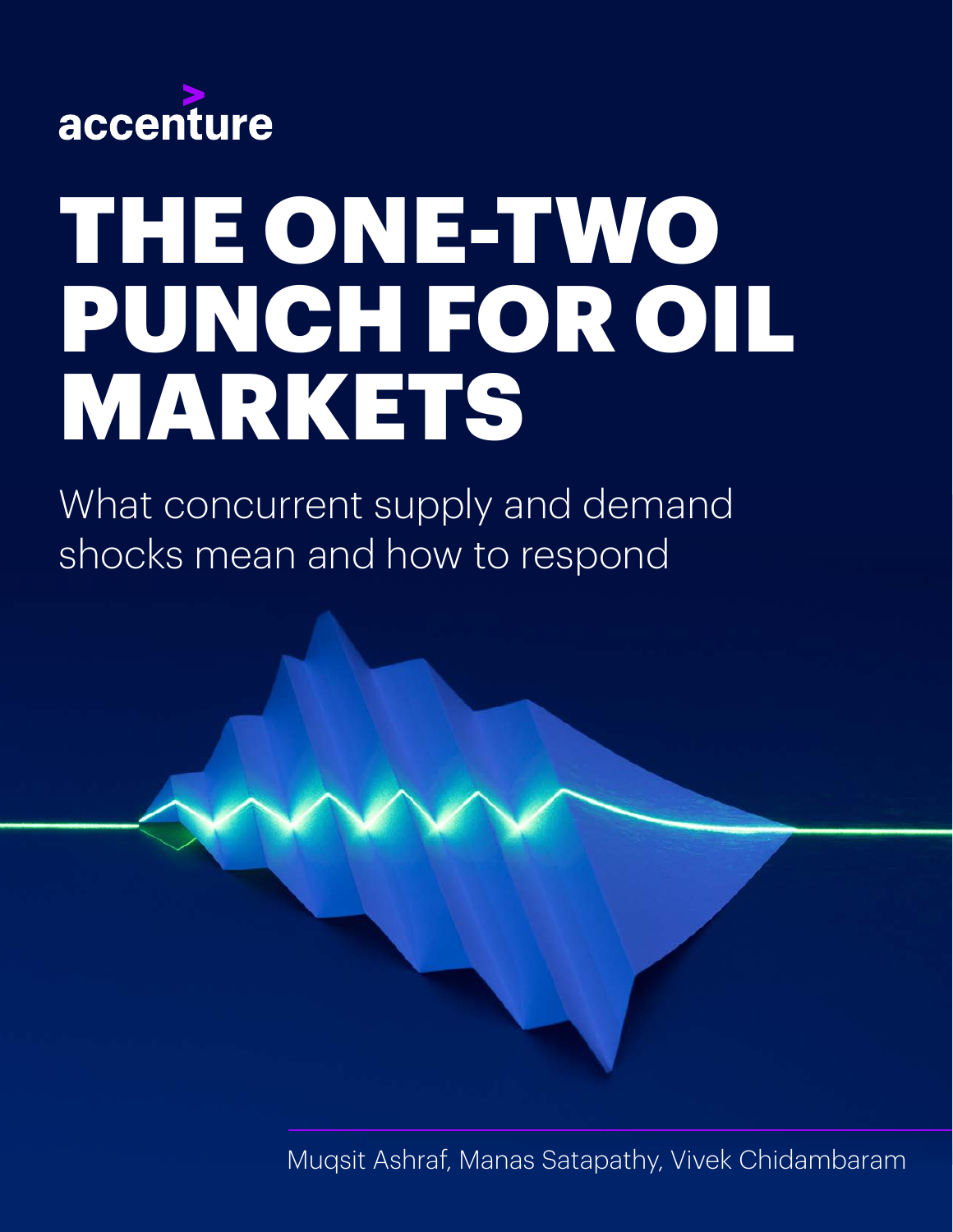

# THE ONE-TWO PUNCH FOR OIL MARKETS

What concurrent supply and demand shocks mean and how to respond

Muqsit Ashraf, Manas Satapathy, Vivek Chidambaram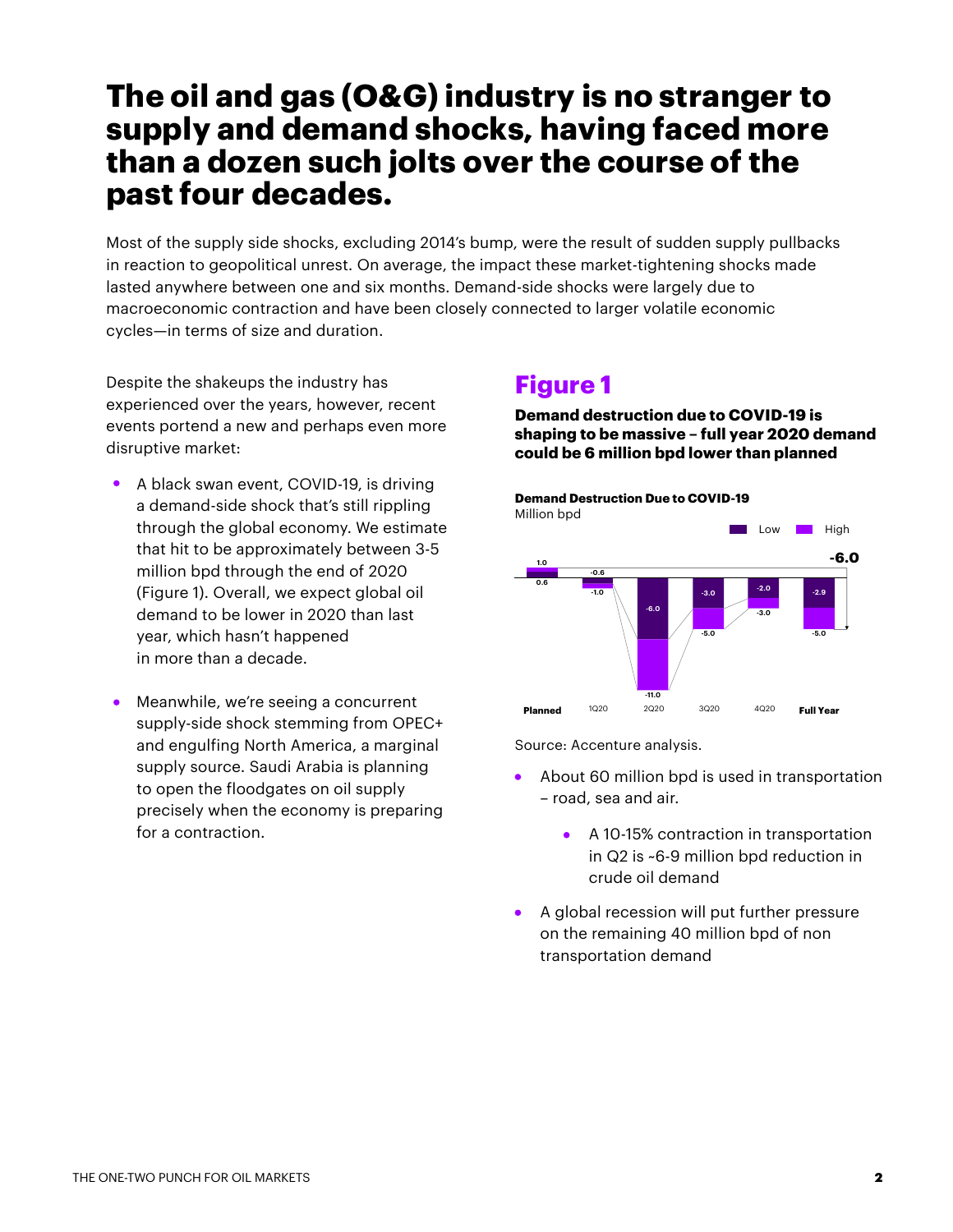# **The oil and gas (O&G) industry is no stranger to supply and demand shocks, having faced more than a dozen such jolts over the course of the past four decades.**

Most of the supply side shocks, excluding 2014's bump, were the result of sudden supply pullbacks in reaction to geopolitical unrest. On average, the impact these market-tightening shocks made lasted anywhere between one and six months. Demand-side shocks were largely due to macroeconomic contraction and have been closely connected to larger volatile economic cycles—in terms of size and duration.

Despite the shakeups the industry has experienced over the years, however, recent events portend a new and perhaps even more disruptive market:

- A black swan event, COVID-19, is driving a demand-side shock that's still rippling through the global economy. We estimate that hit to be approximately between 3-5 million bpd through the end of 2020 (Figure 1). Overall, we expect global oil demand to be lower in 2020 than last year, which hasn't happened in more than a decade.
- Meanwhile, we're seeing a concurrent supply-side shock stemming from OPEC+ and engulfing North America, a marginal supply source. Saudi Arabia is planning to open the floodgates on oil supply precisely when the economy is preparing for a contraction.

#### **Figure 1**

**Demand destruction due to COVID-19 is shaping to be massive – full year 2020 demand could be 6 million bpd lower than planned**



Source: Accenture analysis.

- About 60 million bpd is used in transportation – road, sea and air.
	- A 10-15% contraction in transportation in Q2 is ~6-9 million bpd reduction in crude oil demand
- A global recession will put further pressure  $\bullet$ on the remaining 40 million bpd of non transportation demand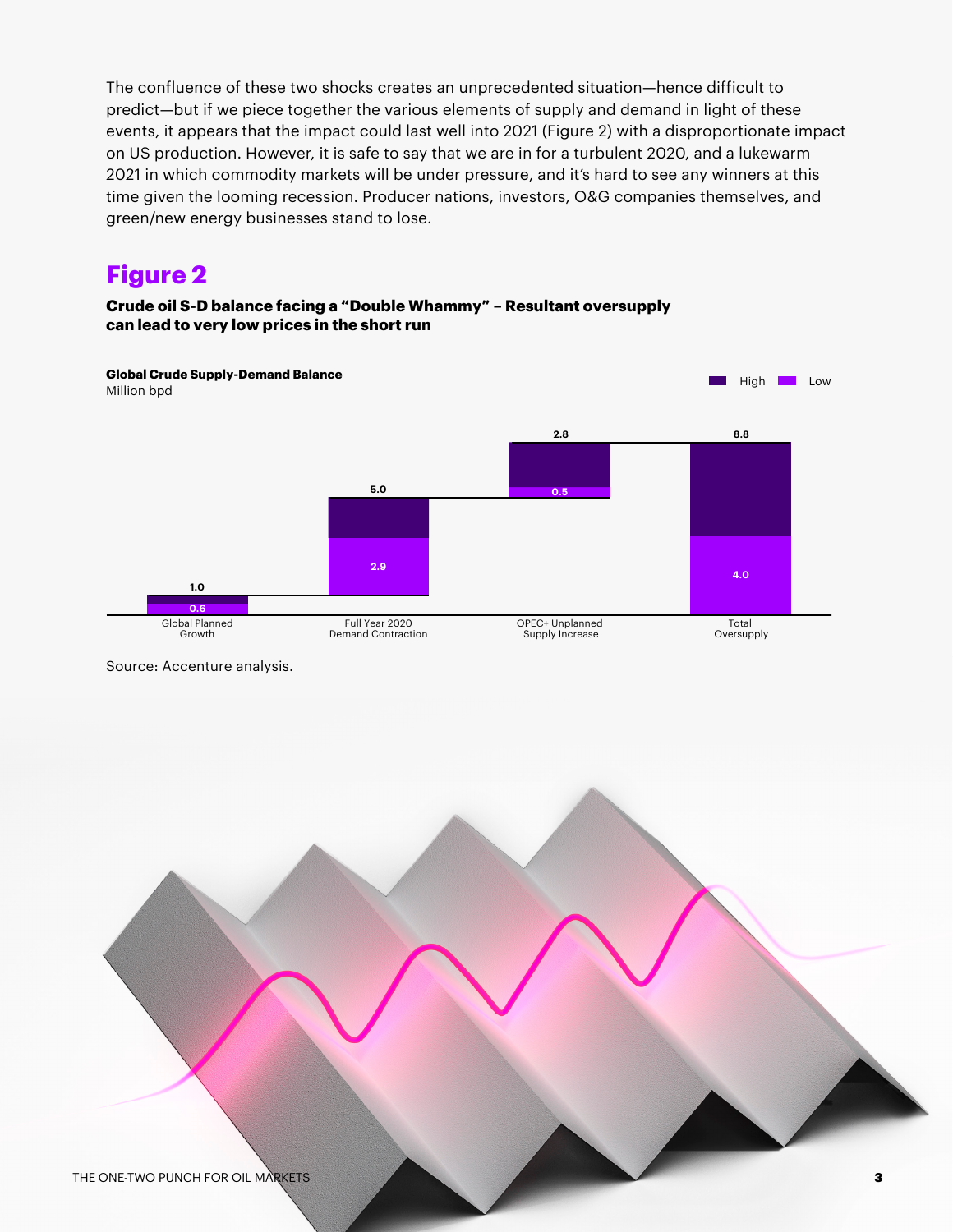The confluence of these two shocks creates an unprecedented situation—hence difficult to predict—but if we piece together the various elements of supply and demand in light of these events, it appears that the impact could last well into 2021 (Figure 2) with a disproportionate impact on US production. However, it is safe to say that we are in for a turbulent 2020, and a lukewarm 2021 in which commodity markets will be under pressure, and it's hard to see any winners at this time given the looming recession. Producer nations, investors, O&G companies themselves, and green/new energy businesses stand to lose.

### **Figure 2**

#### **Crude oil S-D balance facing a "Double Whammy" – Resultant oversupply can lead to very low prices in the short run**



Source: Accenture analysis.

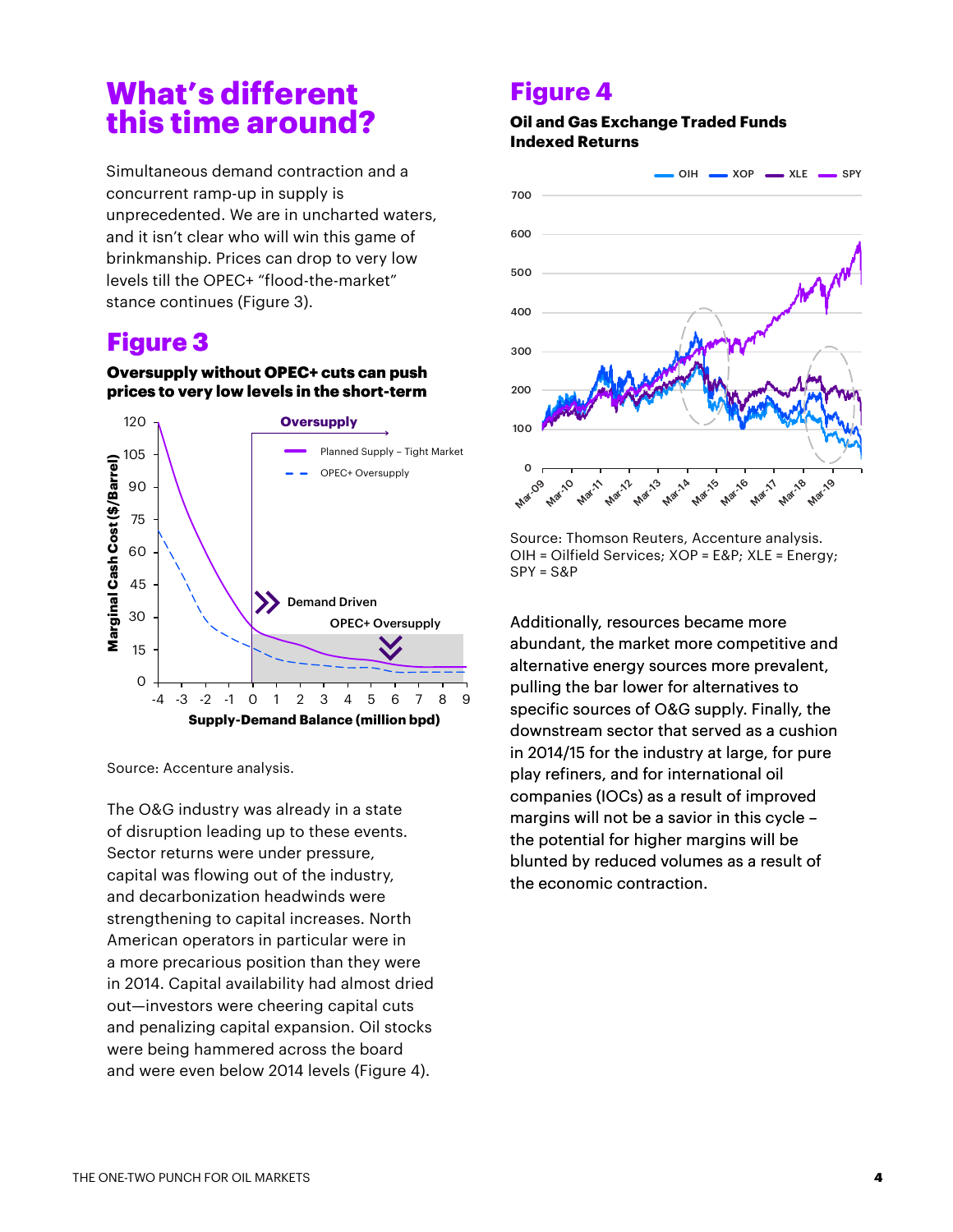# **What's different this time around?**

Simultaneous demand contraction and a concurrent ramp-up in supply is unprecedented. We are in uncharted waters, and it isn't clear who will win this game of brinkmanship. Prices can drop to very low levels till the OPEC+ "flood-the-market" stance continues (Figure 3).

### **Figure 3**

#### **Oversupply without OPEC+ cuts can push prices to very low levels in the short-term**



The O&G industry was already in a state of disruption leading up to these events. Sector returns were under pressure, capital was flowing out of the industry, and decarbonization headwinds were strengthening to capital increases. North American operators in particular were in a more precarious position than they were in 2014. Capital availability had almost dried out—investors were cheering capital cuts and penalizing capital expansion. Oil stocks were being hammered across the board and were even below 2014 levels (Figure 4).

#### **Figure 4**

#### **Oil and Gas Exchange Traded Funds Indexed Returns**



Source: Thomson Reuters, Accenture analysis. OIH = Oilfield Services; XOP = E&P; XLE = Energy; SPY = S&P

Additionally, resources became more abundant, the market more competitive and alternative energy sources more prevalent, pulling the bar lower for alternatives to specific sources of O&G supply. Finally, the downstream sector that served as a cushion in 2014/15 for the industry at large, for pure play refiners, and for international oil companies (IOCs) as a result of improved margins will not be a savior in this cycle – the potential for higher margins will be blunted by reduced volumes as a result of the economic contraction.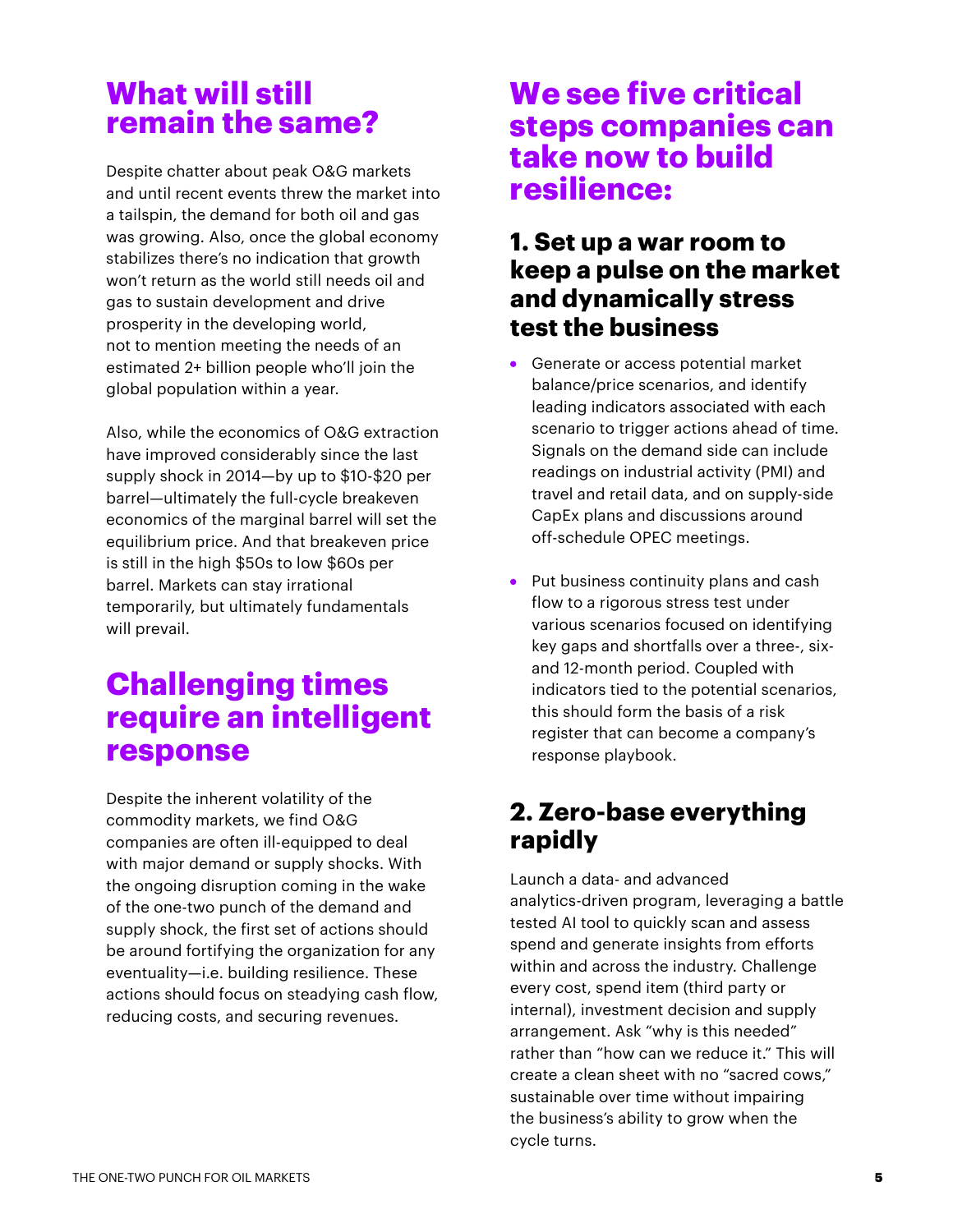# **What will still remain the same?**

Despite chatter about peak O&G markets and until recent events threw the market into a tailspin, the demand for both oil and gas was growing. Also, once the global economy stabilizes there's no indication that growth won't return as the world still needs oil and gas to sustain development and drive prosperity in the developing world, not to mention meeting the needs of an estimated 2+ billion people who'll join the global population within a year.

Also, while the economics of O&G extraction have improved considerably since the last supply shock in 2014—by up to \$10-\$20 per barrel—ultimately the full-cycle breakeven economics of the marginal barrel will set the equilibrium price. And that breakeven price is still in the high \$50s to low \$60s per barrel. Markets can stay irrational temporarily, but ultimately fundamentals will prevail.

# **Challenging times require an intelligent response**

Despite the inherent volatility of the commodity markets, we find O&G companies are often ill-equipped to deal with major demand or supply shocks. With the ongoing disruption coming in the wake of the one-two punch of the demand and supply shock, the first set of actions should be around fortifying the organization for any eventuality—i.e. building resilience. These actions should focus on steadying cash flow, reducing costs, and securing revenues.

# **We see five critical steps companies can take now to build resilience:**

#### **1. Set up a war room to keep a pulse on the market and dynamically stress test the business**

- **Generate or access potential market** balance/price scenarios, and identify leading indicators associated with each scenario to trigger actions ahead of time. Signals on the demand side can include readings on industrial activity (PMI) and travel and retail data, and on supply-side CapEx plans and discussions around off-schedule OPEC meetings.
- Put business continuity plans and cash flow to a rigorous stress test under various scenarios focused on identifying key gaps and shortfalls over a three-, sixand 12-month period. Coupled with indicators tied to the potential scenarios, this should form the basis of a risk register that can become a company's response playbook.

## **2. Zero-base everything rapidly**

Launch a data- and advanced analytics-driven program, leveraging a battle tested AI tool to quickly scan and assess spend and generate insights from efforts within and across the industry. Challenge every cost, spend item (third party or internal), investment decision and supply arrangement. Ask "why is this needed" rather than "how can we reduce it." This will create a clean sheet with no "sacred cows," sustainable over time without impairing the business's ability to grow when the cycle turns.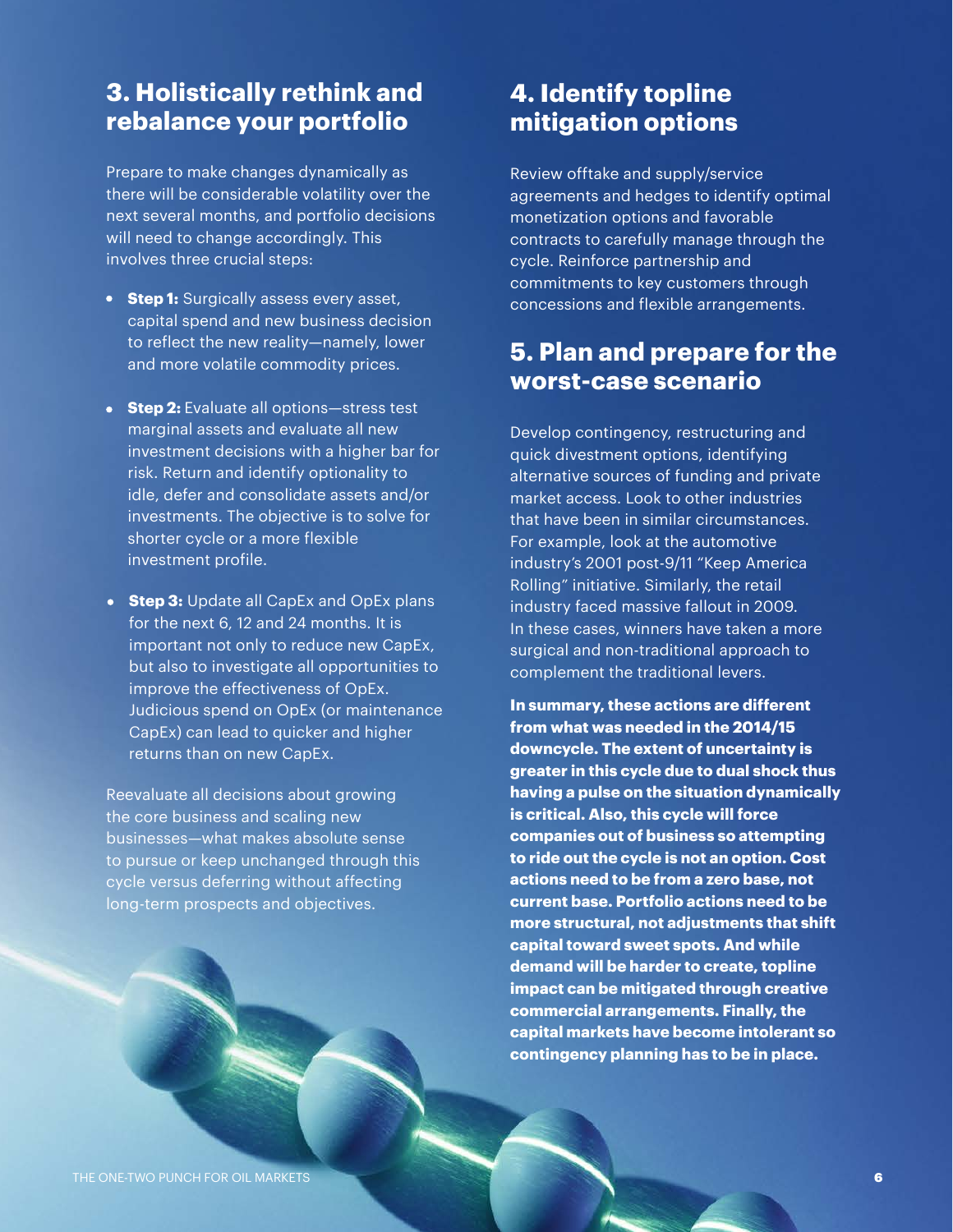#### **3. Holistically rethink and rebalance your portfolio**

Prepare to make changes dynamically as there will be considerable volatility over the next several months, and portfolio decisions will need to change accordingly. This involves three crucial steps:

- **Step 1:** Surgically assess every asset, capital spend and new business decision to reflect the new reality—namely, lower and more volatile commodity prices.
- **Step 2:** Evaluate all options-stress test marginal assets and evaluate all new investment decisions with a higher bar for risk. Return and identify optionality to idle, defer and consolidate assets and/or investments. The objective is to solve for shorter cycle or a more flexible investment profile.
- **Step 3:** Update all CapEx and OpEx plans for the next 6, 12 and 24 months. It is important not only to reduce new CapEx, but also to investigate all opportunities to improve the effectiveness of OpEx. Judicious spend on OpEx (or maintenance CapEx) can lead to quicker and higher returns than on new CapEx.

Reevaluate all decisions about growing the core business and scaling new businesses—what makes absolute sense to pursue or keep unchanged through this cycle versus deferring without affecting long-term prospects and objectives.

#### **4. Identify topline mitigation options**

Review offtake and supply/service agreements and hedges to identify optimal monetization options and favorable contracts to carefully manage through the cycle. Reinforce partnership and commitments to key customers through concessions and flexible arrangements.

#### **5. Plan and prepare for the worst-case scenario**

Develop contingency, restructuring and quick divestment options, identifying alternative sources of funding and private market access. Look to other industries that have been in similar circumstances. For example, look at the automotive industry's 2001 post-9/11 "Keep America Rolling" initiative. Similarly, the retail industry faced massive fallout in 2009. In these cases, winners have taken a more surgical and non-traditional approach to complement the traditional levers.

**In summary, these actions are different from what was needed in the 2014/15 downcycle. The extent of uncertainty is greater in this cycle due to dual shock thus having a pulse on the situation dynamically is critical. Also, this cycle will force companies out of business so attempting to ride out the cycle is not an option. Cost actions need to be from a zero base, not current base. Portfolio actions need to be more structural, not adjustments that shift capital toward sweet spots. And while demand will be harder to create, topline impact can be mitigated through creative commercial arrangements. Finally, the capital markets have become intolerant so contingency planning has to be in place.**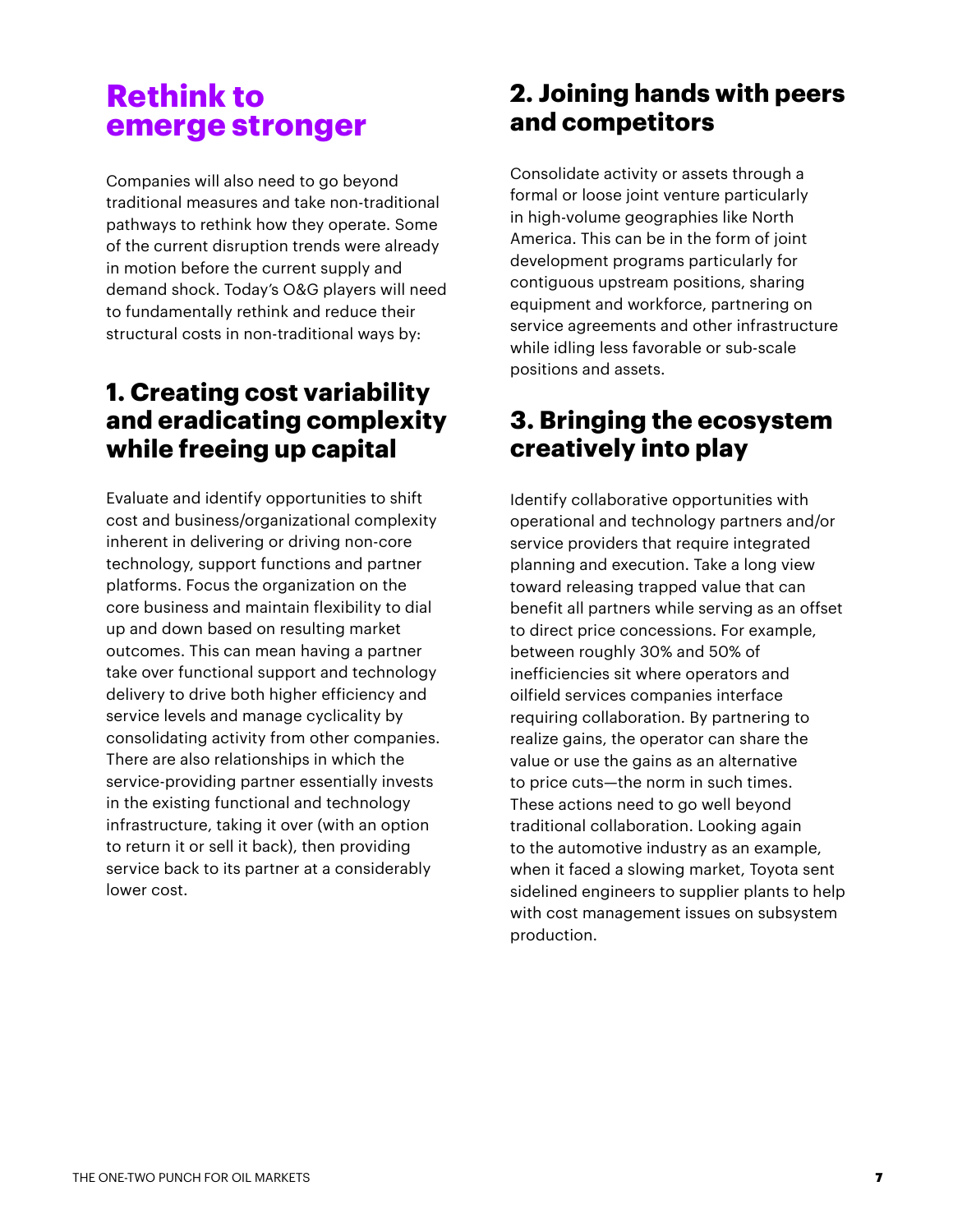## **Rethink to emerge stronger**

Companies will also need to go beyond traditional measures and take non-traditional pathways to rethink how they operate. Some of the current disruption trends were already in motion before the current supply and demand shock. Today's O&G players will need to fundamentally rethink and reduce their structural costs in non-traditional ways by:

#### **1. Creating cost variability and eradicating complexity while freeing up capital**

Evaluate and identify opportunities to shift cost and business/organizational complexity inherent in delivering or driving non-core technology, support functions and partner platforms. Focus the organization on the core business and maintain flexibility to dial up and down based on resulting market outcomes. This can mean having a partner take over functional support and technology delivery to drive both higher efficiency and service levels and manage cyclicality by consolidating activity from other companies. There are also relationships in which the service-providing partner essentially invests in the existing functional and technology infrastructure, taking it over (with an option to return it or sell it back), then providing service back to its partner at a considerably lower cost.

### **2. Joining hands with peers and competitors**

Consolidate activity or assets through a formal or loose joint venture particularly in high-volume geographies like North America. This can be in the form of joint development programs particularly for contiguous upstream positions, sharing equipment and workforce, partnering on service agreements and other infrastructure while idling less favorable or sub-scale positions and assets.

#### **3. Bringing the ecosystem creatively into play**

Identify collaborative opportunities with operational and technology partners and/or service providers that require integrated planning and execution. Take a long view toward releasing trapped value that can benefit all partners while serving as an offset to direct price concessions. For example, between roughly 30% and 50% of inefficiencies sit where operators and oilfield services companies interface requiring collaboration. By partnering to realize gains, the operator can share the value or use the gains as an alternative to price cuts—the norm in such times. These actions need to go well beyond traditional collaboration. Looking again to the automotive industry as an example, when it faced a slowing market, Toyota sent sidelined engineers to supplier plants to help with cost management issues on subsystem production.